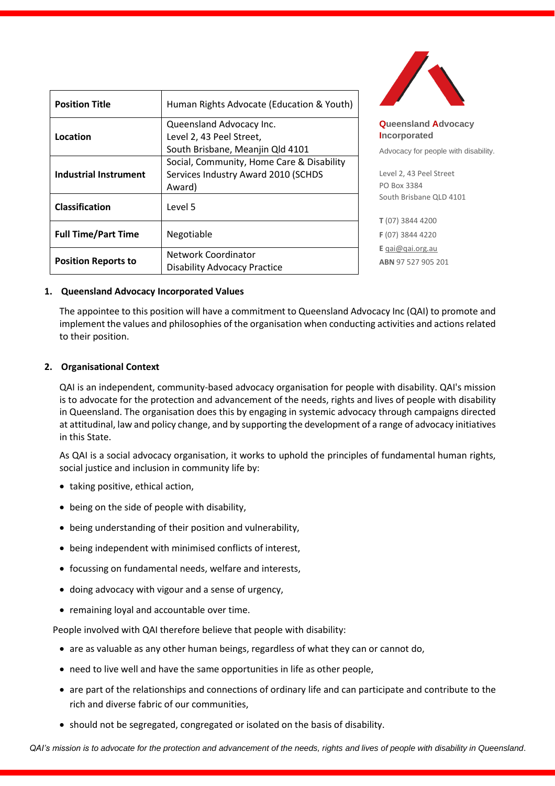| <b>Position Title</b>      | Human Rights Advocate (Education & Youth)                                                  |
|----------------------------|--------------------------------------------------------------------------------------------|
| Location                   | Queensland Advocacy Inc.<br>Level 2, 43 Peel Street,<br>South Brisbane, Meanjin Qld 4101   |
| Industrial Instrument      | Social, Community, Home Care & Disability<br>Services Industry Award 2010 (SCHDS<br>Award) |
| <b>Classification</b>      | Level 5                                                                                    |
| <b>Full Time/Part Time</b> | Negotiable                                                                                 |
| <b>Position Reports to</b> | Network Coordinator<br><b>Disability Advocacy Practice</b>                                 |



**Queensland Advocacy Incorporated** 

Advocacy for people with disability.

Level 2, 43 Peel Street PO Box 3384 South Brisbane QLD 4101

**T** (07) 3844 4200 **F** (07) 3844 4220 **E** [qai@qai.org.au](mailto:qai@qai.org.au) **ABN** 97 527 905 201

#### **1. Queensland Advocacy Incorporated Values**

The appointee to this position will have a commitment to Queensland Advocacy Inc (QAI) to promote and implement the values and philosophies of the organisation when conducting activities and actions related to their position.

#### **2. Organisational Context**

QAI is an independent, community-based advocacy organisation for people with disability. QAI's mission is to advocate for the protection and advancement of the needs, rights and lives of people with disability in Queensland. The organisation does this by engaging in systemic advocacy through campaigns directed at attitudinal, law and policy change, and by supporting the development of a range of advocacy initiatives in this State.

As QAI is a social advocacy organisation, it works to uphold the principles of fundamental human rights, social justice and inclusion in community life by:

- taking positive, ethical action,
- being on the side of people with disability,
- being understanding of their position and vulnerability,
- being independent with minimised conflicts of interest,
- focussing on fundamental needs, welfare and interests,
- doing advocacy with vigour and a sense of urgency,
- remaining loyal and accountable over time.

People involved with QAI therefore believe that people with disability:

- are as valuable as any other human beings, regardless of what they can or cannot do,
- need to live well and have the same opportunities in life as other people,
- are part of the relationships and connections of ordinary life and can participate and contribute to the rich and diverse fabric of our communities,
- should not be segregated, congregated or isolated on the basis of disability.

*QAI's mission is to advocate for the protection and advancement of the needs, rights and lives of people with disability in Queensland*.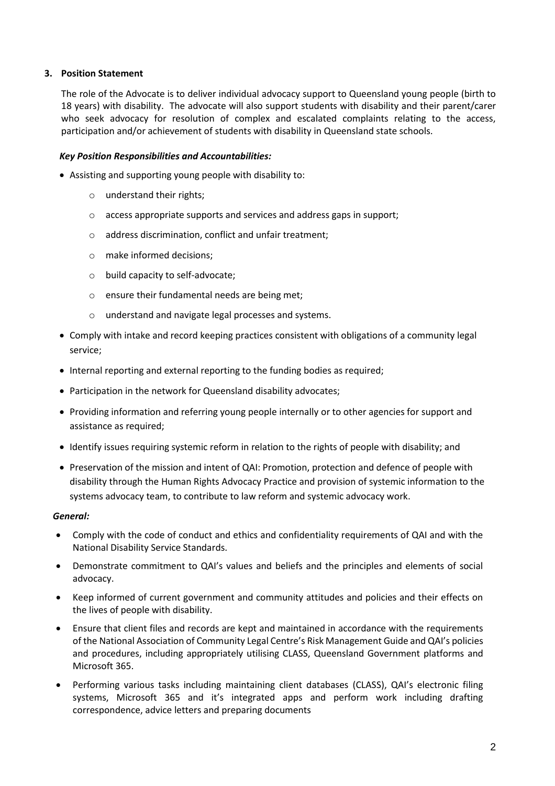## **3. Position Statement**

The role of the Advocate is to deliver individual advocacy support to Queensland young people (birth to 18 years) with disability. The advocate will also support students with disability and their parent/carer who seek advocacy for resolution of complex and escalated complaints relating to the access, participation and/or achievement of students with disability in Queensland state schools.

## *Key Position Responsibilities and Accountabilities:*

- Assisting and supporting young people with disability to:
	- o understand their rights;
	- o access appropriate supports and services and address gaps in support;
	- o address discrimination, conflict and unfair treatment;
	- o make informed decisions;
	- o build capacity to self-advocate;
	- o ensure their fundamental needs are being met;
	- o understand and navigate legal processes and systems.
- Comply with intake and record keeping practices consistent with obligations of a community legal service;
- Internal reporting and external reporting to the funding bodies as required;
- Participation in the network for Queensland disability advocates;
- Providing information and referring young people internally or to other agencies for support and assistance as required;
- Identify issues requiring systemic reform in relation to the rights of people with disability; and
- Preservation of the mission and intent of QAI: Promotion, protection and defence of people with disability through the Human Rights Advocacy Practice and provision of systemic information to the systems advocacy team, to contribute to law reform and systemic advocacy work.

#### *General:*

- Comply with the code of conduct and ethics and confidentiality requirements of QAI and with the National Disability Service Standards.
- Demonstrate commitment to QAI's values and beliefs and the principles and elements of social advocacy.
- Keep informed of current government and community attitudes and policies and their effects on the lives of people with disability.
- Ensure that client files and records are kept and maintained in accordance with the requirements of the National Association of Community Legal Centre's Risk Management Guide and QAI's policies and procedures, including appropriately utilising CLASS, Queensland Government platforms and Microsoft 365.
- Performing various tasks including maintaining client databases (CLASS), QAI's electronic filing systems, Microsoft 365 and it's integrated apps and perform work including drafting correspondence, advice letters and preparing documents